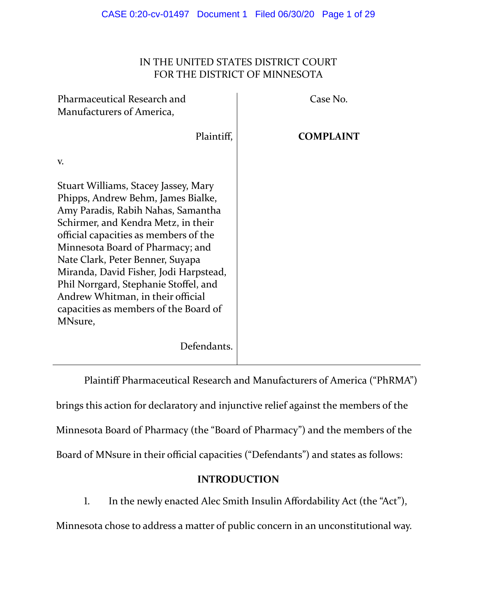## IN THE UNITED STATES DISTRICT COURT FOR THE DISTRICT OF MINNESOTA

| Pharmaceutical Research and<br>Manufacturers of America,                                                                                                                                                                                                                                                                                                                                                                                             | Case No.         |
|------------------------------------------------------------------------------------------------------------------------------------------------------------------------------------------------------------------------------------------------------------------------------------------------------------------------------------------------------------------------------------------------------------------------------------------------------|------------------|
| Plaintiff,                                                                                                                                                                                                                                                                                                                                                                                                                                           | <b>COMPLAINT</b> |
| V.                                                                                                                                                                                                                                                                                                                                                                                                                                                   |                  |
| Stuart Williams, Stacey Jassey, Mary<br>Phipps, Andrew Behm, James Bialke,<br>Amy Paradis, Rabih Nahas, Samantha<br>Schirmer, and Kendra Metz, in their<br>official capacities as members of the<br>Minnesota Board of Pharmacy; and<br>Nate Clark, Peter Benner, Suyapa<br>Miranda, David Fisher, Jodi Harpstead,<br>Phil Norrgard, Stephanie Stoffel, and<br>Andrew Whitman, in their official<br>capacities as members of the Board of<br>MNsure, |                  |
| Defendants.                                                                                                                                                                                                                                                                                                                                                                                                                                          |                  |

Plaintiff Pharmaceutical Research and Manufacturers of America ("PhRMA") brings this action for declaratory and injunctive relief against the members of the Minnesota Board of Pharmacy (the "Board of Pharmacy") and the members of the Board of MNsure in their official capacities ("Defendants") and states as follows:

# **INTRODUCTION**

1. In the newly enacted Alec Smith Insulin Affordability Act (the "Act"),

Minnesota chose to address a matter of public concern in an unconstitutional way.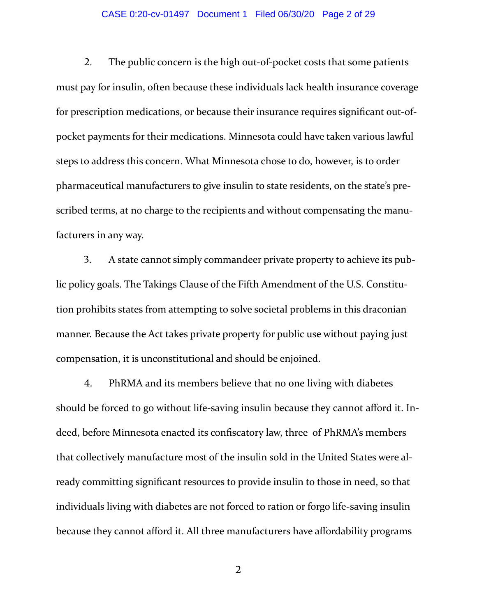#### CASE 0:20-cv-01497 Document 1 Filed 06/30/20 Page 2 of 29

2. The public concern is the high out-of-pocket costs that some patients must pay for insulin, often because these individuals lack health insurance coverage for prescription medications, or because their insurance requires significant out-ofpocket payments for their medications. Minnesota could have taken various lawful steps to address this concern. What Minnesota chose to do, however, is to order pharmaceutical manufacturers to give insulin to state residents, on the state's pre‐ scribed terms, at no charge to the recipients and without compensating the manufacturers in any way.

3. A state cannot simply commandeer private property to achieve its public policy goals. The Takings Clause of the Fifth Amendment of the U.S. Constitu‐ tion prohibits states from attempting to solve societal problems in this draconian manner. Because the Act takes private property for public use without paying just compensation, it is unconstitutional and should be enjoined.

4. PhRMA and its members believe that no one living with diabetes should be forced to go without life-saving insulin because they cannot afford it. Indeed, before Minnesota enacted its confiscatory law, three of PhRMA's members that collectively manufacture most of the insulin sold in the United States were al‐ ready committing significant resources to provide insulin to those in need, so that individuals living with diabetes are not forced to ration or forgo life‐saving insulin because they cannot afford it. All three manufacturers have affordability programs

Ͳ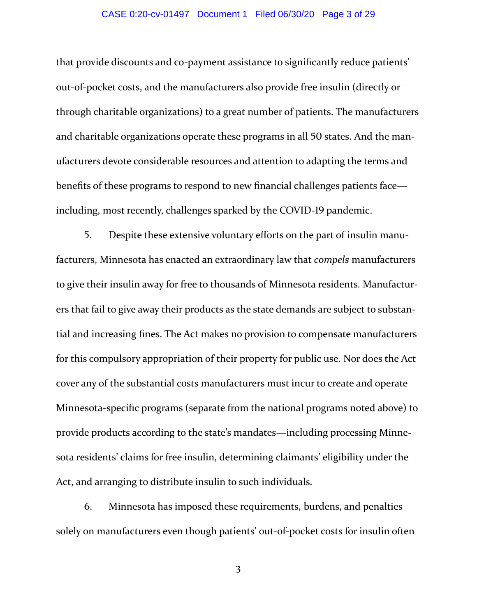#### CASE 0:20-cv-01497 Document 1 Filed 06/30/20 Page 3 of 29

that provide discounts and co‐payment assistance to significantly reduce patients' out‐of‐pocket costs, and the manufacturers also provide free insulin (directly or through charitable organizations) to a great number of patients. The manufacturers and charitable organizations operate these programs in all 50 states. And the manufacturers devote considerable resources and attention to adapting the terms and benefits of these programs to respond to new financial challenges patients face including, most recently, challenges sparked by the COVID-19 pandemic.

͵. Despite these extensive voluntary efforts on the part of insulin manu‐ facturers, Minnesota has enacted an extraordinary law that *compels* manufacturers to give their insulin away for free to thousands of Minnesota residents. Manufactur‐ ers that fail to give away their products as the state demands are subject to substan‐ tial and increasing fines. The Act makes no provision to compensate manufacturers for this compulsory appropriation of their property for public use. Nor does the Act cover any of the substantial costs manufacturers must incur to create and operate Minnesota‐specific programs (separate from the national programs noted above) to provide products according to the state's mandates—including processing Minne‐ sota residents' claims for free insulin, determining claimants' eligibility under the Act, and arranging to distribute insulin to such individuals.

6. Minnesota has imposed these requirements, burdens, and penalties solely on manufacturers even though patients' out‐of‐pocket costs for insulin often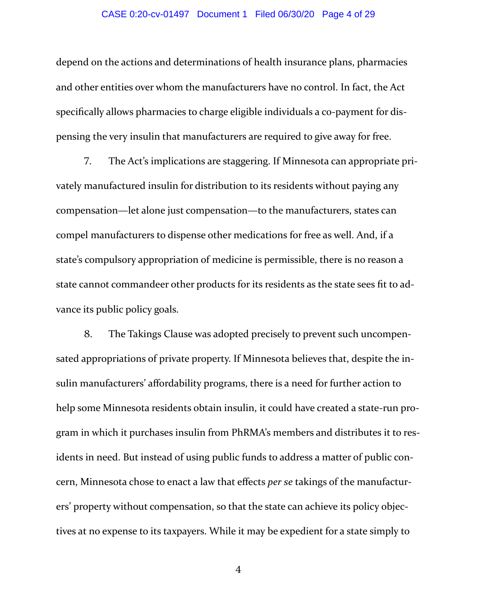#### CASE 0:20-cv-01497 Document 1 Filed 06/30/20 Page 4 of 29

depend on the actions and determinations of health insurance plans, pharmacies and other entities over whom the manufacturers have no control. In fact, the Act specifically allows pharmacies to charge eligible individuals a co-payment for dispensing the very insulin that manufacturers are required to give away for free.

7. The Act's implications are staggering. If Minnesota can appropriate privately manufactured insulin for distribution to its residents without paying any compensation—let alone just compensation—to the manufacturers, states can compel manufacturers to dispense other medications for free as well. And, if a state's compulsory appropriation of medicine is permissible, there is no reason a state cannot commandeer other products for its residents as the state sees fit to ad‐ vance its public policy goals.

. The Takings Clause was adopted precisely to prevent such uncompen‐ sated appropriations of private property. If Minnesota believes that, despite the insulin manufacturers' affordability programs, there is a need for further action to help some Minnesota residents obtain insulin, it could have created a state-run program in which it purchases insulin from PhRMA's members and distributes it to res‐ idents in need. But instead of using public funds to address a matter of public concern, Minnesota chose to enact a law that effects *per se* takings of the manufactur‐ ers' property without compensation, so that the state can achieve its policy objec‐ tives at no expense to its taxpayers. While it may be expedient for a state simply to

 $\overline{4}$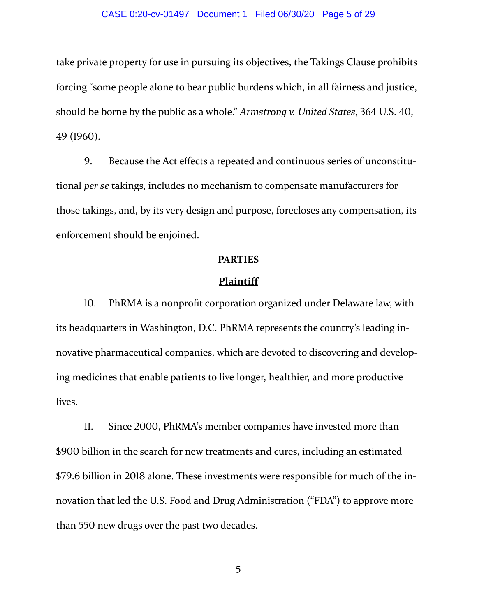#### CASE 0:20-cv-01497 Document 1 Filed 06/30/20 Page 5 of 29

take private property for use in pursuing its objectives, the Takings Clause prohibits forcing "some people alone to bear public burdens which, in all fairness and justice, should be borne by the public as a whole." *Armstrong v. United States*, 364 U.S. 40, 49 (1960).

. Because the Act effects a repeated and continuous series of unconstitu‐ tional *per se* takings, includes no mechanism to compensate manufacturers for those takings, and, by its very design and purpose, forecloses any compensation, its enforcement should be enjoined.

### **PARTIES**

#### **Plaintiff**

10. PhRMA is a nonprofit corporation organized under Delaware law, with its headquarters in Washington, D.C. PhRMA represents the country's leading in‐ novative pharmaceutical companies, which are devoted to discovering and developing medicines that enable patients to live longer, healthier, and more productive lives.

11. Since 2000, PhRMA's member companies have invested more than \$900 billion in the search for new treatments and cures, including an estimated \$79.6 billion in 2018 alone. These investments were responsible for much of the innovation that led the U.S. Food and Drug Administration ("FDA") to approve more than 550 new drugs over the past two decades.

͵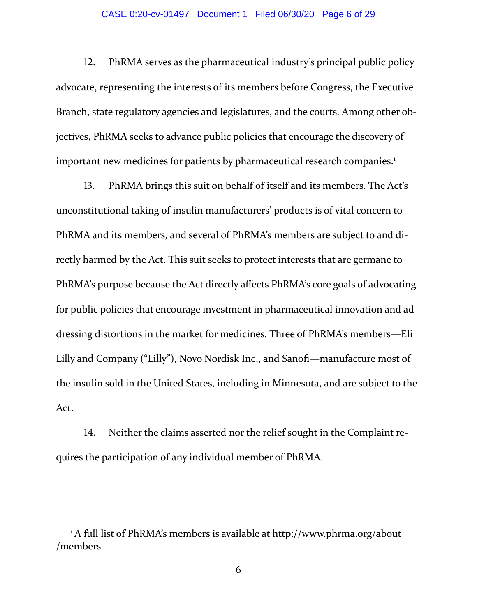#### CASE 0:20-cv-01497 Document 1 Filed 06/30/20 Page 6 of 29

12. PhRMA serves as the pharmaceutical industry's principal public policy advocate, representing the interests of its members before Congress, the Executive Branch, state regulatory agencies and legislatures, and the courts. Among other objectives, PhRMA seeks to advance public policies that encourage the discovery of important new medicines for patients by pharmaceutical research companies.<sup>1</sup>

13. PhRMA brings this suit on behalf of itself and its members. The Act's unconstitutional taking of insulin manufacturers' products is of vital concern to PhRMA and its members, and several of PhRMA's members are subject to and di‐ rectly harmed by the Act. This suit seeks to protect interests that are germane to PhRMA's purpose because the Act directly affects PhRMA's core goals of advocating for public policies that encourage investment in pharmaceutical innovation and addressing distortions in the market for medicines. Three of PhRMA's members—Eli Lilly and Company ("Lilly"), Novo Nordisk Inc., and Sanofi—manufacture most of the insulin sold in the United States, including in Minnesota, and are subject to the Act.

14. Neither the claims asserted nor the relief sought in the Complaint requires the participation of any individual member of PhRMA.

<sup>&</sup>lt;sup>1</sup> A full list of PhRMA's members is available at http://www.phrma.org/about /members.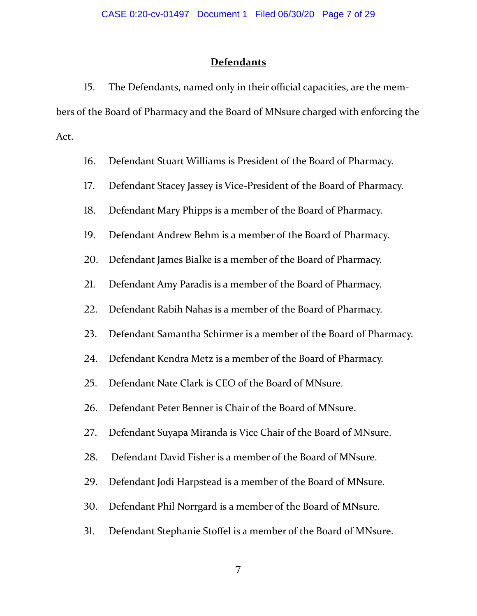## **Defendants**

15. The Defendants, named only in their official capacities, are the members of the Board of Pharmacy and the Board of MNsure charged with enforcing the Act.

- 16. Defendant Stuart Williams is President of the Board of Pharmacy.
- 17. Defendant Stacey Jassey is Vice-President of the Board of Pharmacy.
- 18. Defendant Mary Phipps is a member of the Board of Pharmacy.
- 19. Defendant Andrew Behm is a member of the Board of Pharmacy.
- 20. Defendant James Bialke is a member of the Board of Pharmacy.
- 21. Defendant Amy Paradis is a member of the Board of Pharmacy.
- 22. Defendant Rabih Nahas is a member of the Board of Pharmacy.
- 23. Defendant Samantha Schirmer is a member of the Board of Pharmacy.
- 24. Defendant Kendra Metz is a member of the Board of Pharmacy.
- 25. Defendant Nate Clark is CEO of the Board of MNsure.
- 26. Defendant Peter Benner is Chair of the Board of MNsure.
- 27. Defendant Suyapa Miranda is Vice Chair of the Board of MNsure.
- 28. Defendant David Fisher is a member of the Board of MNsure.
- 29. Defendant Jodi Harpstead is a member of the Board of MNsure.
- 30. Defendant Phil Norrgard is a member of the Board of MNsure.
- 31. Defendant Stephanie Stoffel is a member of the Board of MNsure.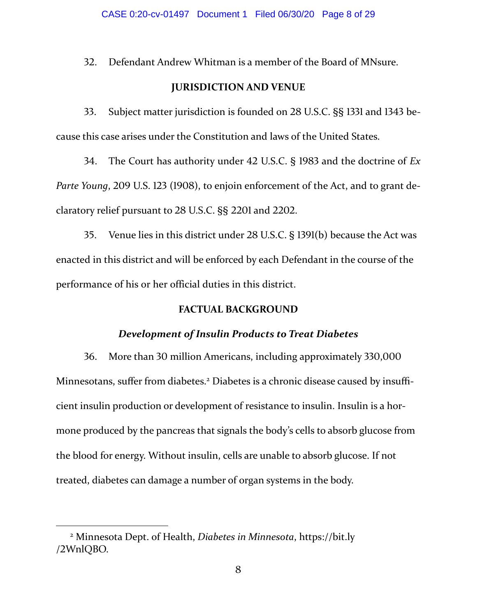32. Defendant Andrew Whitman is a member of the Board of MNsure.

## **JURISDICTION AND VENUE**

33. Subject matter jurisdiction is founded on 28 U.S.C. §§ 1331 and 1343 because this case arises under the Constitution and laws of the United States.

**34.** The Court has authority under 42 U.S.C. § 1983 and the doctrine of *Ex Parte Young*, 209 U.S. 123 (1908), to enjoin enforcement of the Act, and to grant declaratory relief pursuant to 28 U.S.C. §§ 2201 and 2202.

35. Venue lies in this district under 28 U.S.C. § 1391(b) because the Act was enacted in this district and will be enforced by each Defendant in the course of the performance of his or her official duties in this district.

## **FACTUAL BACKGROUND**

### *Development of Insulin Products to Treat Diabetes*

36. More than 30 million Americans, including approximately 330,000 Minnesotans, suffer from diabetes.<sup>2</sup> Diabetes is a chronic disease caused by insufficient insulin production or development of resistance to insulin. Insulin is a hor‐ mone produced by the pancreas that signals the body's cells to absorb glucose from the blood for energy. Without insulin, cells are unable to absorb glucose. If not treated, diabetes can damage a number of organ systems in the body.

<sup>2</sup> Minnesota Dept. of Health, *Diabetes in Minnesota*, https://bit.ly /2WnlOBO.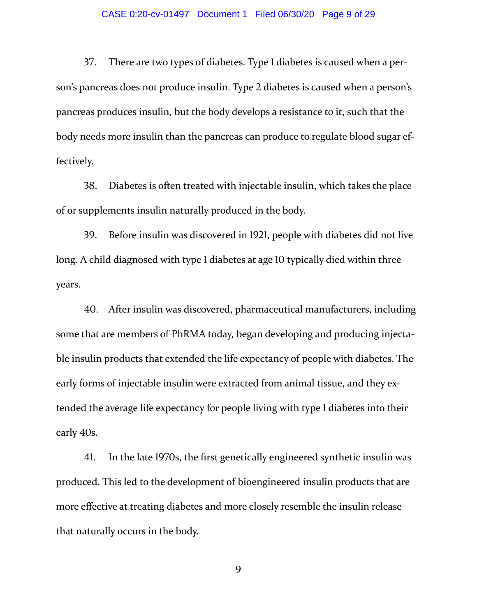#### CASE 0:20-cv-01497 Document 1 Filed 06/30/20 Page 9 of 29

37. There are two types of diabetes. Type 1 diabetes is caused when a person's pancreas does not produce insulin. Type 2 diabetes is caused when a person's pancreas produces insulin, but the body develops a resistance to it, such that the body needs more insulin than the pancreas can produce to regulate blood sugar ef‐ fectively.

38. Diabetes is often treated with injectable insulin, which takes the place of or supplements insulin naturally produced in the body.

39. Before insulin was discovered in 1921, people with diabetes did not live long. A child diagnosed with type 1 diabetes at age 10 typically died within three years.

40. After insulin was discovered, pharmaceutical manufacturers, including some that are members of PhRMA today, began developing and producing injectable insulin products that extended the life expectancy of people with diabetes. The early forms of injectable insulin were extracted from animal tissue, and they extended the average life expectancy for people living with type 1 diabetes into their early 40s.

41. In the late 1970s, the first genetically engineered synthetic insulin was produced. This led to the development of bioengineered insulin products that are more effective at treating diabetes and more closely resemble the insulin release that naturally occurs in the body.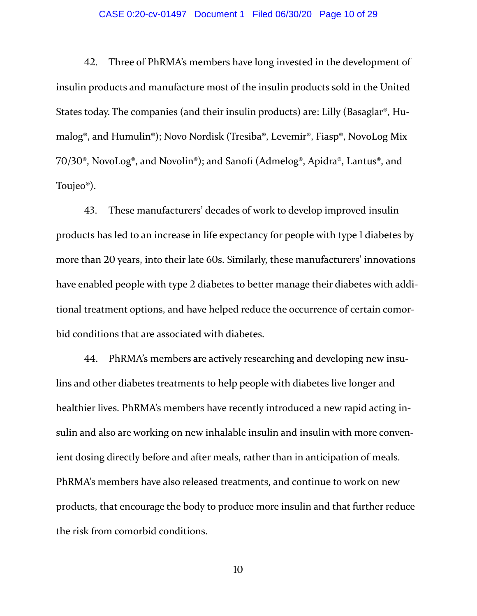#### CASE 0:20-cv-01497 Document 1 Filed 06/30/20 Page 10 of 29

42. Three of PhRMA's members have long invested in the development of insulin products and manufacture most of the insulin products sold in the United States today. The companies (and their insulin products) are: Lilly (Basaglar®, Hu‐ malog®, and Humulin®); Novo Nordisk (Tresiba®, Levemir®, Fiasp®, NovoLog Mix 70/30®, NovoLog®, and Novolin®); and Sanofi (Admelog®, Apidra®, Lantus®, and Toujeo®).

43. These manufacturers' decades of work to develop improved insulin products has led to an increase in life expectancy for people with type 1 diabetes by more than 20 years, into their late 60s. Similarly, these manufacturers' innovations have enabled people with type 2 diabetes to better manage their diabetes with additional treatment options, and have helped reduce the occurrence of certain comor‐ bid conditions that are associated with diabetes.

44. PhRMA's members are actively researching and developing new insulins and other diabetes treatments to help people with diabetes live longer and healthier lives. PhRMA's members have recently introduced a new rapid acting insulin and also are working on new inhalable insulin and insulin with more conven‐ ient dosing directly before and after meals, rather than in anticipation of meals. PhRMA's members have also released treatments, and continue to work on new products, that encourage the body to produce more insulin and that further reduce the risk from comorbid conditions.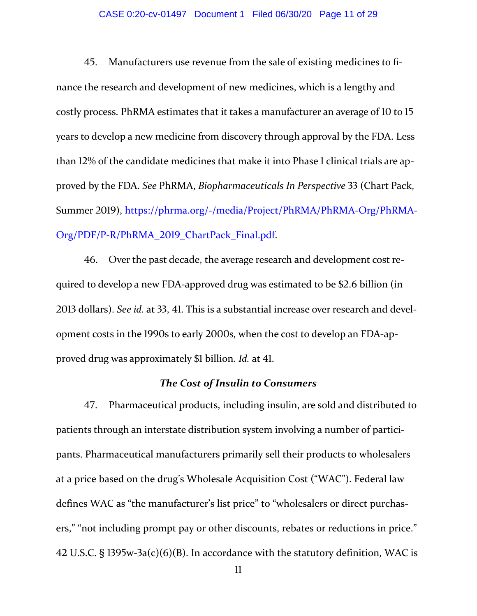### CASE 0:20-cv-01497 Document 1 Filed 06/30/20 Page 11 of 29

45. Manufacturers use revenue from the sale of existing medicines to finance the research and development of new medicines, which is a lengthy and costly process. PhRMA estimates that it takes a manufacturer an average of 10 to 15 years to develop a new medicine from discovery through approval by the FDA. Less than 12% of the candidate medicines that make it into Phase 1 clinical trials are approved by the FDA. See PhRMA, *Biopharmaceuticals In Perspective* 33 (Chart Pack, Summer 2019), https://phrma.org/-/media/Project/PhRMA/PhRMA-Org/PhRMA-Org/PDF/P-R/PhRMA 2019 ChartPack Final.pdf.

46. Over the past decade, the average research and development cost required to develop a new FDA-approved drug was estimated to be \$2.6 billion (in 2013 dollars). *See id.* at 33, 41. This is a substantial increase over research and development costs in the 1990s to early 2000s, when the cost to develop an FDA-approved drug was approximately \$1 billion. *Id.* at 41.

# *The Cost of Insulin to Consumers*

47. Pharmaceutical products, including insulin, are sold and distributed to patients through an interstate distribution system involving a number of participants. Pharmaceutical manufacturers primarily sell their products to wholesalers at a price based on the drug's Wholesale Acquisition Cost ("WAC"). Federal law defines WAC as "the manufacturer's list price" to "wholesalers or direct purchas‐ ers," "not including prompt pay or other discounts, rebates or reductions in price." 42 U.S.C. §  $1395w-3a(c)(6)(B)$ . In accordance with the statutory definition, WAC is

 $\mathbf l$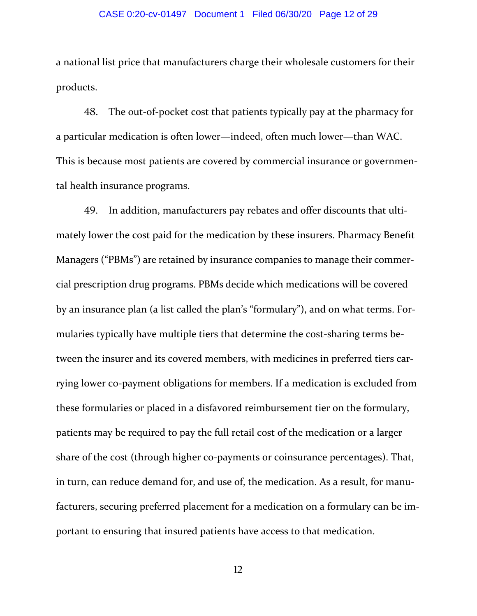#### CASE 0:20-cv-01497 Document 1 Filed 06/30/20 Page 12 of 29

a national list price that manufacturers charge their wholesale customers for their products.

48. The out-of-pocket cost that patients typically pay at the pharmacy for a particular medication is often lower—indeed, often much lower—than WAC. This is because most patients are covered by commercial insurance or governmen‐ tal health insurance programs.

49. In addition, manufacturers pay rebates and offer discounts that ultimately lower the cost paid for the medication by these insurers. Pharmacy Benefit Managers ("PBMs") are retained by insurance companies to manage their commer‐ cial prescription drug programs. PBMs decide which medications will be covered by an insurance plan (a list called the plan's "formulary"), and on what terms. For‐ mularies typically have multiple tiers that determine the cost-sharing terms between the insurer and its covered members, with medicines in preferred tiers carrying lower co‐payment obligations for members. If a medication is excluded from these formularies or placed in a disfavored reimbursement tier on the formulary, patients may be required to pay the full retail cost of the medication or a larger share of the cost (through higher co-payments or coinsurance percentages). That, in turn, can reduce demand for, and use of, the medication. As a result, for manufacturers, securing preferred placement for a medication on a formulary can be im‐ portant to ensuring that insured patients have access to that medication.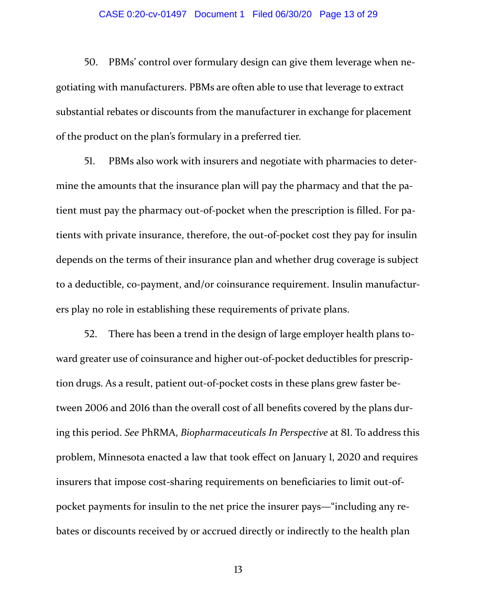#### CASE 0:20-cv-01497 Document 1 Filed 06/30/20 Page 13 of 29

50. PBMs' control over formulary design can give them leverage when negotiating with manufacturers. PBMs are often able to use that leverage to extract substantial rebates or discounts from the manufacturer in exchange for placement of the product on the plan's formulary in a preferred tier.

51. PBMs also work with insurers and negotiate with pharmacies to determine the amounts that the insurance plan will pay the pharmacy and that the patient must pay the pharmacy out‐of‐pocket when the prescription is filled. For pa‐ tients with private insurance, therefore, the out‐of‐pocket cost they pay for insulin depends on the terms of their insurance plan and whether drug coverage is subject to a deductible, co-payment, and/or coinsurance requirement. Insulin manufacturers play no role in establishing these requirements of private plans.

52. There has been a trend in the design of large employer health plans toward greater use of coinsurance and higher out-of-pocket deductibles for prescription drugs. As a result, patient out‐of‐pocket costs in these plans grew faster be‐ tween 2006 and 2016 than the overall cost of all benefits covered by the plans during this period. *See* PhRMA, *Biopharmaceuticals In Perspective* at 81. To address this problem, Minnesota enacted a law that took effect on January 1, 2020 and requires insurers that impose cost-sharing requirements on beneficiaries to limit out-ofpocket payments for insulin to the net price the insurer pays—"including any re‐ bates or discounts received by or accrued directly or indirectly to the health plan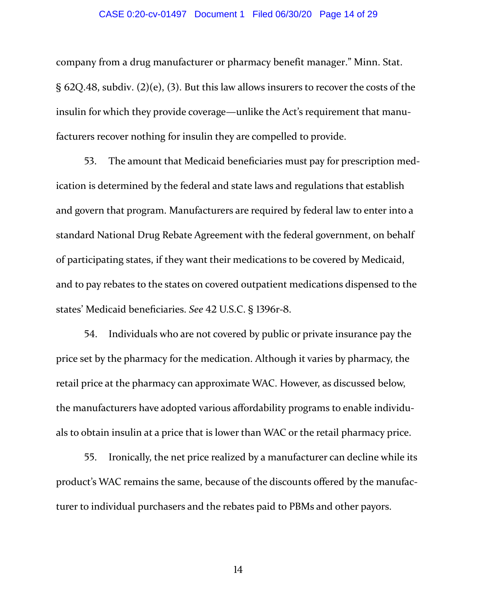#### CASE 0:20-cv-01497 Document 1 Filed 06/30/20 Page 14 of 29

company from a drug manufacturer or pharmacy benefit manager." Minn. Stat. §  $62Q.48$ , subdiv. (2)(e), (3). But this law allows insurers to recover the costs of the insulin for which they provide coverage—unlike the Act's requirement that manu‐ facturers recover nothing for insulin they are compelled to provide.

53. The amount that Medicaid beneficiaries must pay for prescription medication is determined by the federal and state laws and regulations that establish and govern that program. Manufacturers are required by federal law to enter into a standard National Drug Rebate Agreement with the federal government, on behalf of participating states, if they want their medications to be covered by Medicaid, and to pay rebates to the states on covered outpatient medications dispensed to the states' Medicaid beneficiaries. *See* 42 U.S.C. § 1396r-8.

54. Individuals who are not covered by public or private insurance pay the price set by the pharmacy for the medication. Although it varies by pharmacy, the retail price at the pharmacy can approximate WAC. However, as discussed below, the manufacturers have adopted various affordability programs to enable individu‐ als to obtain insulin at a price that is lower than WAC or the retail pharmacy price.

55. Ironically, the net price realized by a manufacturer can decline while its product's WAC remains the same, because of the discounts offered by the manufac‐ turer to individual purchasers and the rebates paid to PBMs and other payors.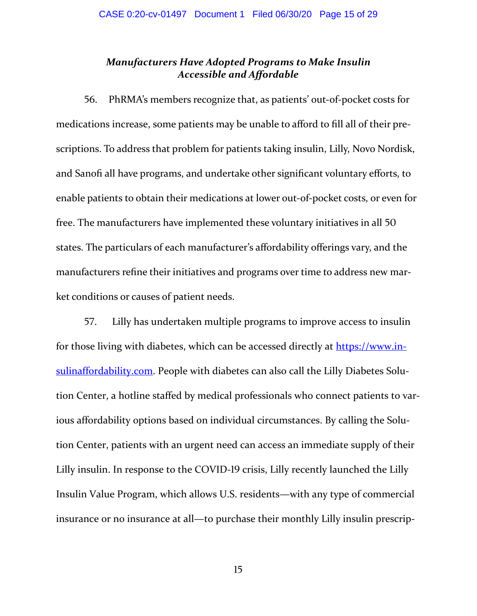# *Manufacturers Have Adopted Programs to Make Insulin Accessible and Affordable*

56. PhRMA's members recognize that, as patients' out-of-pocket costs for medications increase, some patients may be unable to afford to fill all of their pre‐ scriptions. To address that problem for patients taking insulin, Lilly, Novo Nordisk, and Sanofi all have programs, and undertake other significant voluntary efforts, to enable patients to obtain their medications at lower out‐of‐pocket costs, or even for free. The manufacturers have implemented these voluntary initiatives in all 50 states. The particulars of each manufacturer's affordability offerings vary, and the manufacturers refine their initiatives and programs over time to address new market conditions or causes of patient needs.

57. Lilly has undertaken multiple programs to improve access to insulin for those living with diabetes, which can be accessed directly at https://www.insulinaffordability.com. People with diabetes can also call the Lilly Diabetes Solution Center, a hotline staffed by medical professionals who connect patients to var‐ ious affordability options based on individual circumstances. By calling the Solution Center, patients with an urgent need can access an immediate supply of their Lilly insulin. In response to the COVID-19 crisis, Lilly recently launched the Lilly Insulin Value Program, which allows U.S. residents—with any type of commercial insurance or no insurance at all—to purchase their monthly Lilly insulin prescrip‐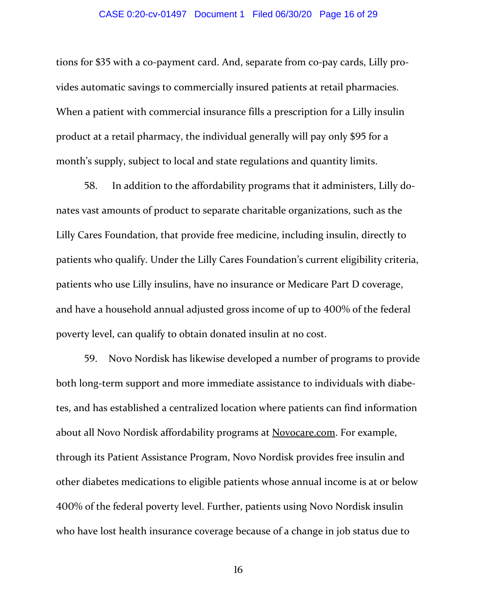#### CASE 0:20-cv-01497 Document 1 Filed 06/30/20 Page 16 of 29

tions for \$35 with a co-payment card. And, separate from co-pay cards, Lilly provides automatic savings to commercially insured patients at retail pharmacies. When a patient with commercial insurance fills a prescription for a Lilly insulin product at a retail pharmacy, the individual generally will pay only \$95 for a month's supply, subject to local and state regulations and quantity limits.

58. In addition to the affordability programs that it administers, Lilly donates vast amounts of product to separate charitable organizations, such as the Lilly Cares Foundation, that provide free medicine, including insulin, directly to patients who qualify. Under the Lilly Cares Foundation's current eligibility criteria, patients who use Lilly insulins, have no insurance or Medicare Part D coverage, and have a household annual adjusted gross income of up to 400% of the federal poverty level, can qualify to obtain donated insulin at no cost.

59. Novo Nordisk has likewise developed a number of programs to provide both long-term support and more immediate assistance to individuals with diabetes, and has established a centralized location where patients can find information about all Novo Nordisk affordability programs at Novocare.com. For example, through its Patient Assistance Program, Novo Nordisk provides free insulin and other diabetes medications to eligible patients whose annual income is at or below 400% of the federal poverty level. Further, patients using Novo Nordisk insulin who have lost health insurance coverage because of a change in job status due to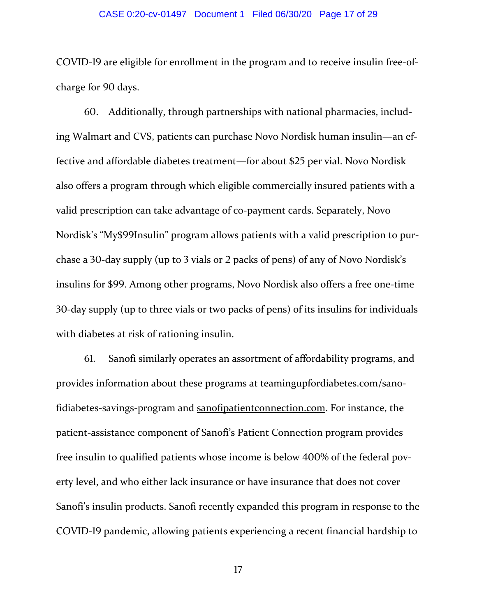#### CASE 0:20-cv-01497 Document 1 Filed 06/30/20 Page 17 of 29

COVID-19 are eligible for enrollment in the program and to receive insulin free-ofcharge for 90 days.

60. Additionally, through partnerships with national pharmacies, including Walmart and CVS, patients can purchase Novo Nordisk human insulin—an ef‐ fective and affordable diabetes treatment—for about \$25 per vial. Novo Nordisk also offers a program through which eligible commercially insured patients with a valid prescription can take advantage of co‐payment cards. Separately, Novo Nordisk's "My\$99Insulin" program allows patients with a valid prescription to purchase a 30-day supply (up to 3 vials or 2 packs of pens) of any of Novo Nordisk's insulins for \$99. Among other programs, Novo Nordisk also offers a free one-time 30-day supply (up to three vials or two packs of pens) of its insulins for individuals with diabetes at risk of rationing insulin.

61. Sanofi similarly operates an assortment of affordability programs, and provides information about these programs at teamingupfordiabetes.com/sano‐ fidiabetes-savings-program and sanofipatient connection.com. For instance, the patient‐assistance component of Sanofi's Patient Connection program provides free insulin to qualified patients whose income is below 400% of the federal poverty level, and who either lack insurance or have insurance that does not cover Sanofi's insulin products. Sanofi recently expanded this program in response to the COVID-19 pandemic, allowing patients experiencing a recent financial hardship to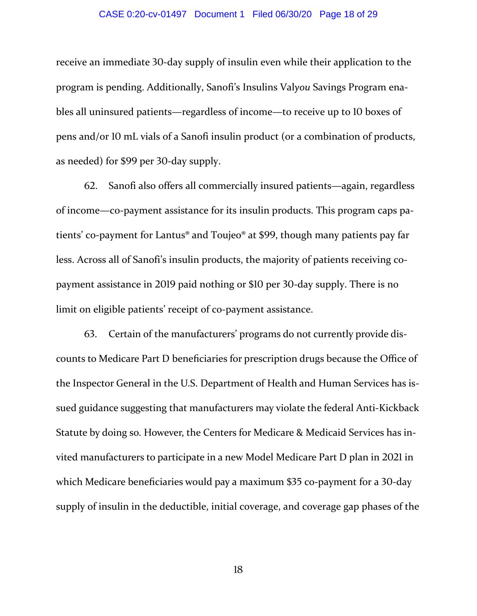#### CASE 0:20-cv-01497 Document 1 Filed 06/30/20 Page 18 of 29

receive an immediate 30-day supply of insulin even while their application to the program is pending. Additionally, Sanofi's Insulins Val*you* Savings Program ena‐ bles all uninsured patients—regardless of income—to receive up to 10 boxes of pens and/or 10 mL vials of a Sanofi insulin product (or a combination of products, as needed) for \$99 per 30-day supply.

62. Sanofi also offers all commercially insured patients—again, regardless of income—co‐payment assistance for its insulin products. This program caps pa‐ tients' co-payment for Lantus<sup>®</sup> and Toujeo<sup>®</sup> at \$99, though many patients pay far less. Across all of Sanofi's insulin products, the majority of patients receiving copayment assistance in 2019 paid nothing or \$10 per 30-day supply. There is no limit on eligible patients' receipt of co-payment assistance.

63. Certain of the manufacturers' programs do not currently provide discounts to Medicare Part D beneficiaries for prescription drugs because the Office of the Inspector General in the U.S. Department of Health and Human Services has is‐ sued guidance suggesting that manufacturers may violate the federal Anti‐Kickback Statute by doing so. However, the Centers for Medicare & Medicaid Services has in‐ vited manufacturers to participate in a new Model Medicare Part D plan in 2021 in which Medicare beneficiaries would pay a maximum \$35 co-payment for a 30-day supply of insulin in the deductible, initial coverage, and coverage gap phases of the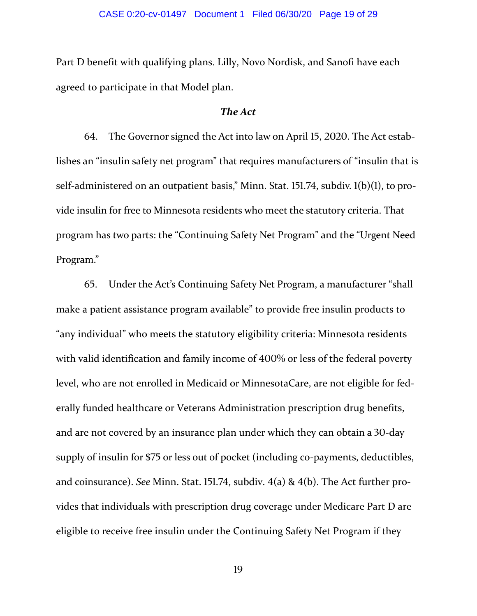Part D benefit with qualifying plans. Lilly, Novo Nordisk, and Sanofi have each agreed to participate in that Model plan.

## *The Act*

64. The Governor signed the Act into law on April 15, 2020. The Act establishes an "insulin safety net program" that requires manufacturers of "insulin that is self-administered on an outpatient basis," Minn. Stat. 151.74, subdiv.  $l(b)(l)$ , to provide insulin for free to Minnesota residents who meet the statutory criteria. That program has two parts: the "Continuing Safety Net Program" and the "Urgent Need Program."

65. Under the Act's Continuing Safety Net Program, a manufacturer "shall make a patient assistance program available" to provide free insulin products to "any individual" who meets the statutory eligibility criteria: Minnesota residents with valid identification and family income of 400% or less of the federal poverty level, who are not enrolled in Medicaid or MinnesotaCare, are not eligible for fed‐ erally funded healthcare or Veterans Administration prescription drug benefits, and are not covered by an insurance plan under which they can obtain a 30-day supply of insulin for \$75 or less out of pocket (including co-payments, deductibles, and coinsurance). *See* Minn. Stat. 151.74, subdiv.  $4(a)$  &  $4(b)$ . The Act further provides that individuals with prescription drug coverage under Medicare Part D are eligible to receive free insulin under the Continuing Safety Net Program if they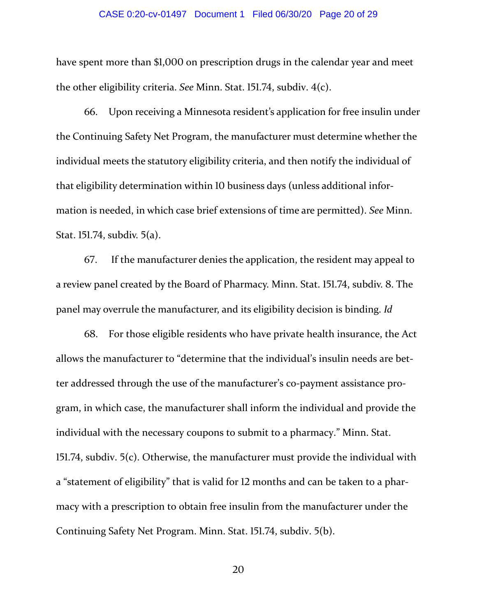#### CASE 0:20-cv-01497 Document 1 Filed 06/30/20 Page 20 of 29

have spent more than \$1,000 on prescription drugs in the calendar year and meet the other eligibility criteria. *See* Minn. Stat. 151.74, subdiv. 4(c).

66. Upon receiving a Minnesota resident's application for free insulin under the Continuing Safety Net Program, the manufacturer must determine whether the individual meets the statutory eligibility criteria, and then notify the individual of that eligibility determination within 10 business days (unless additional information is needed, in which case brief extensions of time are permitted). *See* Minn. Stat.  $151.74$ , subdiv.  $5(a)$ .

67. If the manufacturer denies the application, the resident may appeal to a review panel created by the Board of Pharmacy. Minn. Stat. 151.74, subdiv. 8. The panel may overrule the manufacturer, and its eligibility decision is binding. *Id*

68. For those eligible residents who have private health insurance, the Act allows the manufacturer to "determine that the individual's insulin needs are bet‐ ter addressed through the use of the manufacturer's co‐payment assistance pro‐ gram, in which case, the manufacturer shall inform the individual and provide the individual with the necessary coupons to submit to a pharmacy." Minn. Stat. 151.74, subdiv.  $5(c)$ . Otherwise, the manufacturer must provide the individual with a "statement of eligibility" that is valid for 12 months and can be taken to a pharmacy with a prescription to obtain free insulin from the manufacturer under the Continuing Safety Net Program. Minn. Stat. 151.74, subdiv. 5(b).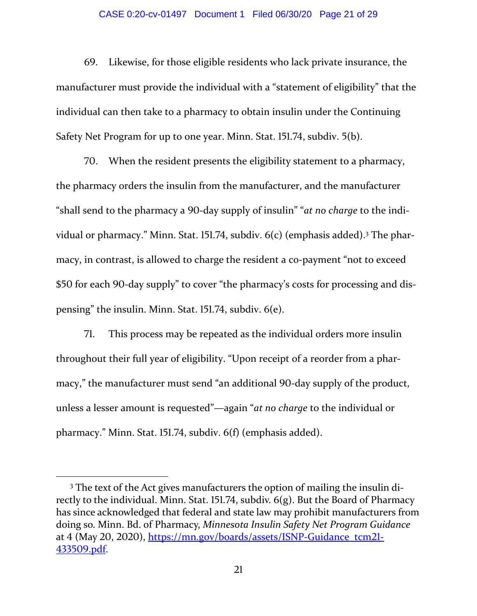#### CASE 0:20-cv-01497 Document 1 Filed 06/30/20 Page 21 of 29

69. Likewise, for those eligible residents who lack private insurance, the manufacturer must provide the individual with a "statement of eligibility" that the individual can then take to a pharmacy to obtain insulin under the Continuing Safety Net Program for up to one year. Minn. Stat. 151.74, subdiv. 5(b).

70. When the resident presents the eligibility statement to a pharmacy, the pharmacy orders the insulin from the manufacturer, and the manufacturer "shall send to the pharmacy a 90-day supply of insulin" "*at no charge* to the individual or pharmacy." Minn. Stat. 151.74, subdiv.  $6(c)$  (emphasis added).<sup>3</sup> The pharmacy, in contrast, is allowed to charge the resident a co-payment "not to exceed \$50 for each 90-day supply" to cover "the pharmacy's costs for processing and dispensing" the insulin. Minn. Stat.  $151.74$ , subdiv.  $6(e)$ .

71. This process may be repeated as the individual orders more insulin throughout their full year of eligibility. "Upon receipt of a reorder from a phar‐ macy," the manufacturer must send "an additional 90-day supply of the product, unless a lesser amount is requested"—again "*at no charge* to the individual or pharmacy." Minn. Stat. 151.74, subdiv. 6(f) (emphasis added).

<sup>3</sup> The text of the Act gives manufacturers the option of mailing the insulin di‐ rectly to the individual. Minn. Stat. 151.74, subdiv.  $6(g)$ . But the Board of Pharmacy has since acknowledged that federal and state law may prohibit manufacturers from doing so. Minn. Bd. of Pharmacy, *Minnesota Insulin Safety Net Program Guidance* at 4 (May 20, 2020), https://mn.gov/boards/assets/ISNP-Guidance\_tcm2l-433509.pdf.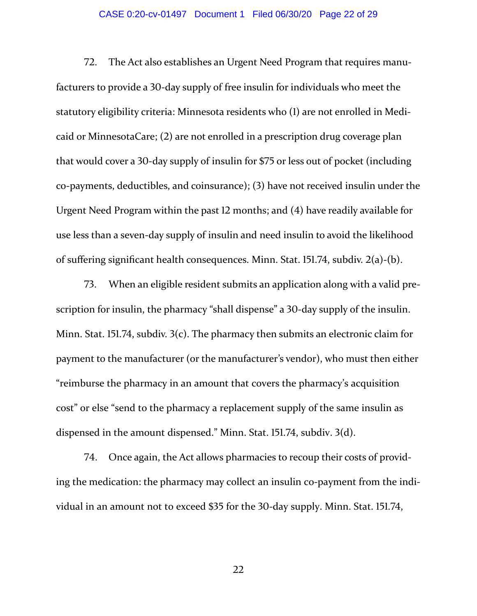#### CASE 0:20-cv-01497 Document 1 Filed 06/30/20 Page 22 of 29

72. The Act also establishes an Urgent Need Program that requires manufacturers to provide a 30-day supply of free insulin for individuals who meet the statutory eligibility criteria: Minnesota residents who (1) are not enrolled in Medicaid or MinnesotaCare; (2) are not enrolled in a prescription drug coverage plan that would cover a 30-day supply of insulin for \$75 or less out of pocket (including co-payments, deductibles, and coinsurance); (3) have not received insulin under the Urgent Need Program within the past 12 months; and (4) have readily available for use less than a seven‐day supply of insulin and need insulin to avoid the likelihood of suffering significant health consequences. Minn. Stat.  $151.74$ , subdiv.  $2(a)-(b)$ .

73. When an eligible resident submits an application along with a valid prescription for insulin, the pharmacy "shall dispense" a 30-day supply of the insulin. Minn. Stat. 151.74, subdiv.  $3(c)$ . The pharmacy then submits an electronic claim for payment to the manufacturer (or the manufacturer's vendor), who must then either "reimburse the pharmacy in an amount that covers the pharmacy's acquisition cost" or else "send to the pharmacy a replacement supply of the same insulin as dispensed in the amount dispensed." Minn. Stat. 151.74, subdiv. 3(d).

74. Once again, the Act allows pharmacies to recoup their costs of providing the medication: the pharmacy may collect an insulin co-payment from the individual in an amount not to exceed \$35 for the 30-day supply. Minn. Stat. 151.74,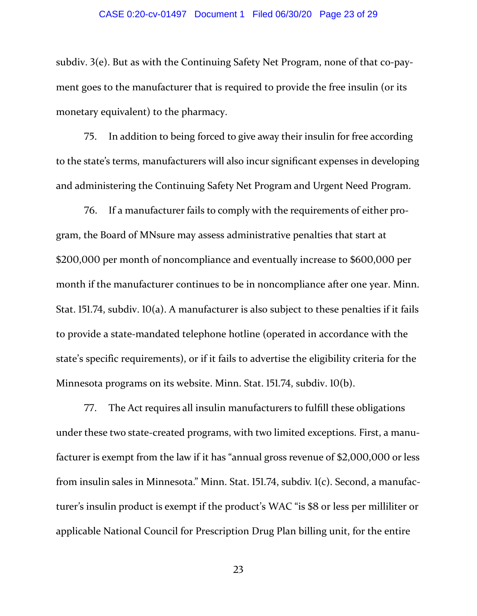#### CASE 0:20-cv-01497 Document 1 Filed 06/30/20 Page 23 of 29

subdiv.  $3(e)$ . But as with the Continuing Safety Net Program, none of that co-payment goes to the manufacturer that is required to provide the free insulin (or its monetary equivalent) to the pharmacy.

75. In addition to being forced to give away their insulin for free according to the state's terms, manufacturers will also incur significant expenses in developing and administering the Continuing Safety Net Program and Urgent Need Program.

76. If a manufacturer fails to comply with the requirements of either program, the Board of MNsure may assess administrative penalties that start at \$200,000 per month of noncompliance and eventually increase to \$600,000 per month if the manufacturer continues to be in noncompliance after one year. Minn. Stat. 151.74, subdiv.  $10(a)$ . A manufacturer is also subject to these penalties if it fails to provide a state‐mandated telephone hotline (operated in accordance with the state's specific requirements), or if it fails to advertise the eligibility criteria for the Minnesota programs on its website. Minn. Stat. 151.74, subdiv. 10(b).

77. The Act requires all insulin manufacturers to fulfill these obligations under these two state‐created programs, with two limited exceptions. First, a manu‐ facturer is exempt from the law if it has "annual gross revenue of \$2,000,000 or less from insulin sales in Minnesota." Minn. Stat. 151.74, subdiv. 1(c). Second, a manufacturer's insulin product is exempt if the product's WAC "is \$8 or less per milliliter or applicable National Council for Prescription Drug Plan billing unit, for the entire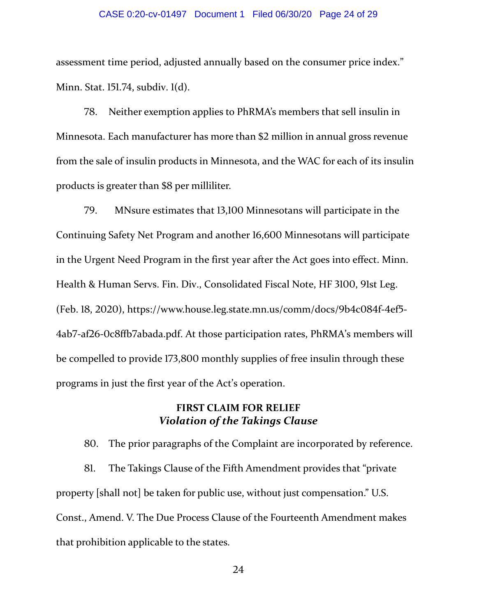#### CASE 0:20-cv-01497 Document 1 Filed 06/30/20 Page 24 of 29

assessment time period, adjusted annually based on the consumer price index." Minn. Stat. 151.74, subdiv. 1(d).

78. Neither exemption applies to PhRMA's members that sell insulin in Minnesota. Each manufacturer has more than \$2 million in annual gross revenue from the sale of insulin products in Minnesota, and the WAC for each of its insulin products is greater than \$8 per milliliter.

79. MNsure estimates that 13,100 Minnesotans will participate in the Continuing Safety Net Program and another 16,600 Minnesotans will participate in the Urgent Need Program in the first year after the Act goes into effect. Minn. Health & Human Servs. Fin. Div., Consolidated Fiscal Note, HF 3100, 91st Leg. (Feb. 18, 2020), https://www.house.leg.state.mn.us/comm/docs/9b4c084f-4ef5- $4ab7$ -af26-0c8ffb7abada.pdf. At those participation rates, PhRMA's members will be compelled to provide 173,800 monthly supplies of free insulin through these programs in just the first year of the Act's operation.

# **FIRST CLAIM FOR RELIEF** *Violation of the Takings Clause*

80. The prior paragraphs of the Complaint are incorporated by reference. 81. The Takings Clause of the Fifth Amendment provides that "private" property [shall not] be taken for public use, without just compensation." U.S. Const., Amend. V. The Due Process Clause of the Fourteenth Amendment makes that prohibition applicable to the states.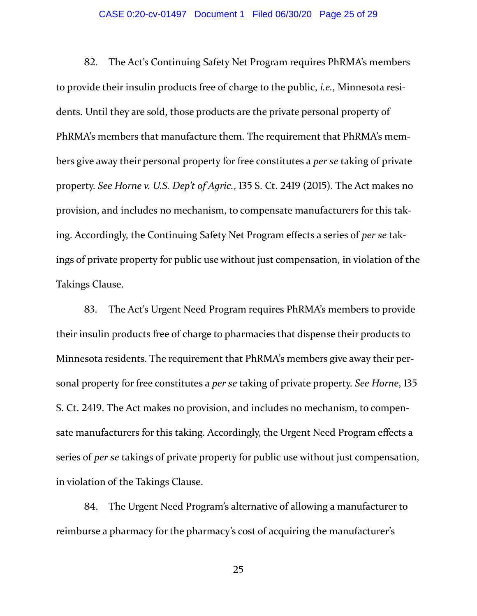#### CASE 0:20-cv-01497 Document 1 Filed 06/30/20 Page 25 of 29

82. The Act's Continuing Safety Net Program requires PhRMA's members to provide their insulin products free of charge to the public, *i.e.*, Minnesota resi‐ dents. Until they are sold, those products are the private personal property of PhRMA's members that manufacture them. The requirement that PhRMA's mem‐ bers give away their personal property for free constitutes a *per se* taking of private property. *See Horne v. U.S. Dep't of Agric.*, 135 S. Ct. 2419 (2015). The Act makes no provision, and includes no mechanism, to compensate manufacturers for this taking. Accordingly, the Continuing Safety Net Program effects a series of *per se* tak‐ ings of private property for public use without just compensation, in violation of the Takings Clause.

83. The Act's Urgent Need Program requires PhRMA's members to provide their insulin products free of charge to pharmacies that dispense their products to Minnesota residents. The requirement that PhRMA's members give away their per‐ sonal property for free constitutes a *per se* taking of private property. *See Horne*, 135 S. Ct. 2419. The Act makes no provision, and includes no mechanism, to compensate manufacturers for this taking. Accordingly, the Urgent Need Program effects a series of *per se* takings of private property for public use without just compensation, in violation of the Takings Clause.

84. The Urgent Need Program's alternative of allowing a manufacturer to reimburse a pharmacy for the pharmacy's cost of acquiring the manufacturer's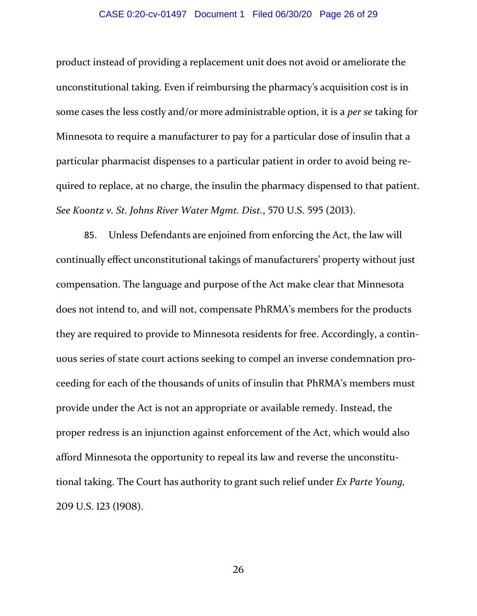#### CASE 0:20-cv-01497 Document 1 Filed 06/30/20 Page 26 of 29

product instead of providing a replacement unit does not avoid or ameliorate the unconstitutional taking. Even if reimbursing the pharmacy's acquisition cost is in some cases the less costly and/or more administrable option, it is a *per se* taking for Minnesota to require a manufacturer to pay for a particular dose of insulin that a particular pharmacist dispenses to a particular patient in order to avoid being re‐ quired to replace, at no charge, the insulin the pharmacy dispensed to that patient. *See Koontz v. St. Johns River Water Mgmt. Dist.*, 570 U.S. 595 (2013).

85. Unless Defendants are enjoined from enforcing the Act, the law will continually effect unconstitutional takings of manufacturers' property without just compensation. The language and purpose of the Act make clear that Minnesota does not intend to, and will not, compensate PhRMA's members for the products they are required to provide to Minnesota residents for free. Accordingly, a contin‐ uous series of state court actions seeking to compel an inverse condemnation pro‐ ceeding for each of the thousands of units of insulin that PhRMA's members must provide under the Act is not an appropriate or available remedy. Instead, the proper redress is an injunction against enforcement of the Act, which would also afford Minnesota the opportunity to repeal its law and reverse the unconstitu‐ tional taking. The Court has authority to grant such relief under *Ex Parte Young,* 209 U.S. 123 (1908).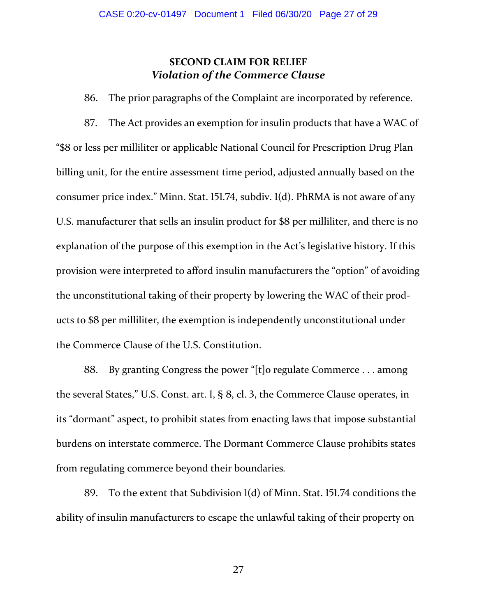# **SECOND CLAIM FOR RELIEF** *Violation of the Commerce Clause*

86. The prior paragraphs of the Complaint are incorporated by reference.

87. The Act provides an exemption for insulin products that have a WAC of "\$ or less per milliliter or applicable National Council for Prescription Drug Plan billing unit, for the entire assessment time period, adjusted annually based on the consumer price index." Minn. Stat. 151.74, subdiv. 1(d). PhRMA is not aware of any U.S. manufacturer that sells an insulin product for \$8 per milliliter, and there is no explanation of the purpose of this exemption in the Act's legislative history. If this provision were interpreted to afford insulin manufacturers the "option" of avoiding the unconstitutional taking of their property by lowering the WAC of their prod‐ ucts to \$8 per milliliter, the exemption is independently unconstitutional under the Commerce Clause of the U.S. Constitution.

. By granting Congress the power "[t]o regulate Commerce . . . among the several States," U.S. Const. art. I, § 8, cl. 3, the Commerce Clause operates, in its "dormant" aspect, to prohibit states from enacting laws that impose substantial burdens on interstate commerce. The Dormant Commerce Clause prohibits states from regulating commerce beyond their boundaries*.*

89. To the extent that Subdivision 1(d) of Minn. Stat. 151.74 conditions the ability of insulin manufacturers to escape the unlawful taking of their property on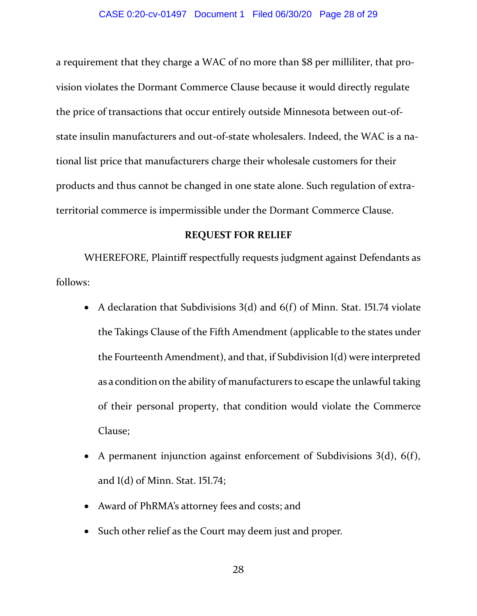a requirement that they charge a WAC of no more than \$8 per milliliter, that provision violates the Dormant Commerce Clause because it would directly regulate the price of transactions that occur entirely outside Minnesota between out‐of‐ state insulin manufacturers and out‐of‐state wholesalers. Indeed, the WAC is a na‐ tional list price that manufacturers charge their wholesale customers for their products and thus cannot be changed in one state alone. Such regulation of extra‐ territorial commerce is impermissible under the Dormant Commerce Clause.

### **REQUEST FOR RELIEF**

WHEREFORE, Plaintiff respectfully requests judgment against Defendants as follows:

- A declaration that Subdivisions  $3(d)$  and  $6(f)$  of Minn. Stat. 151.74 violate the Takings Clause of the Fifth Amendment (applicable to the states under the Fourteenth Amendment), and that, if Subdivision 1(d) were interpreted as a condition on the ability of manufacturers to escape the unlawful taking of their personal property, that condition would violate the Commerce Clause;
- A permanent injunction against enforcement of Subdivisions  $3(d)$ ,  $6(f)$ , and  $l(d)$  of Minn. Stat. 151.74;
- Award of PhRMA's attorney fees and costs; and
- Such other relief as the Court may deem just and proper.